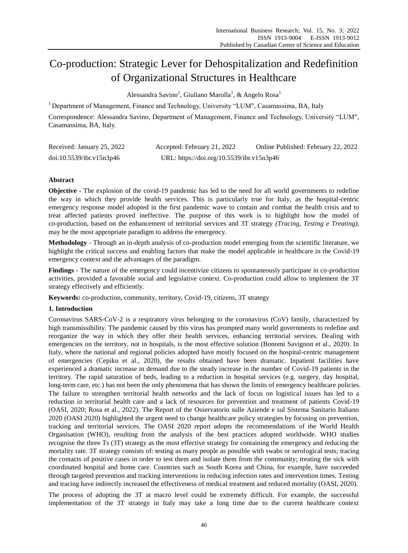# Co-production: Strategic Lever for Dehospitalization and Redefinition of Organizational Structures in Healthcare

Alessandra Savino<sup>1</sup>, Giuliano Marolla<sup>1</sup>, & Angelo Rosa<sup>1</sup>

<sup>1</sup> Department of Management, Finance and Technology, University "LUM", Casamassima, BA, Italy

Correspondence: Alessandra Savino, Department of Management, Finance and Technology, University "LUM", Casamassima, BA, Italy.

| Received: January 25, 2022 | Accepted: February 21, 2022               | Online Published: February 22, 2022 |
|----------------------------|-------------------------------------------|-------------------------------------|
| doi:10.5539/ibr.v15n3p46   | URL: https://doi.org/10.5539/ibr.v15n3p46 |                                     |

# **Abstract**

**Objective** - The explosion of the covid-19 pandemic has led to the need for all world governments to redefine the way in which they provide health services. This is particularly true for Italy, as the hospital-centric emergency response model adopted in the first pandemic wave to contain and combat the health crisis and to treat affected patients proved ineffective. The purpose of this work is to highlight how the model of co-production, based on the enhancement of territorial services and 3T strategy *(Tracing, Testing e Treating),* may be the most appropriate paradigm to address the emergency.

**Methodology** - Through an in-depth analysis of co-production model emerging from the scientific literature, we highlight the critical success and enabling factors that make the model applicable in healthcare in the Covid-19 emergency context and the advantages of the paradigm.

**Findings** - The nature of the emergency could incentivize citizens to spontaneously participate in co-production activities, provided a favorable social and legislative context. Co-production could allow to implement the 3T strategy effectively and efficiently.

**Keywords:** co-production, community, territory, Covid-19, citizens, 3T strategy

# **1. Introduction**

Coronavirus SARS-CoV-2 is a respiratory virus belonging to the coronavirus (CoV) family, characterized by high transmissibility. The pandemic caused by this virus has prompted many world governments to redefine and reorganize the way in which they offer their health services, enhancing territorial services. Dealing with emergencies on the territory, not in hospitals, is the most effective solution (Bonomi Savignon et al., 2020). In Italy, where the national and regional policies adopted have mostly focused on the hospital-centric management of emergencies (Cepiku et al., 2020), the results obtained have been dramatic. Inpatient facilities have experienced a dramatic increase in demand due to the steady increase in the number of Covid-19 patients in the territory. The rapid saturation of beds, leading to a reduction in hospital services (e.g. surgery, day hospital, long-term care, etc.) has not been the only phenomena that has shown the limits of emergency healthcare policies. The failure to strengthen territorial health networks and the lack of focus on logistical issues has led to a reduction in territorial health care and a lack of resources for prevention and treatment of patients Covid-19 (OASI, 2020; Rosa et al., 2022). The Report of the Osservatorio sulle Aziende e sul Sistema Sanitario Italiano 2020 (OASI 2020) highlighted the urgent need to change healthcare policy strategies by focusing on prevention, tracking and territorial services. The OASI 2020 report adopts the recommendations of the World Health Organisation (WHO), resulting from the analysis of the best practices adopted worldwide. WHO studies recognise the three Ts (3T) strategy as the most effective strategy for containing the emergency and reducing the mortality rate. 3T strategy consists of: testing as many people as possible with swabs or serological tests; tracing the contacts of positive cases in order to test them and isolate them from the community; treating the sick with coordinated hospital and home care. Countries such as South Korea and China, for example, have succeeded through targeted prevention and tracking interventions in reducing infection rates and intervention times. Testing and tracing have indirectly increased the effectiveness of medical treatment and reduced mortality (OASI, 2020).

The process of adopting the 3T at macro level could be extremely difficult. For example, the successful implementation of the 3T strategy in Italy may take a long time due to the current healthcare context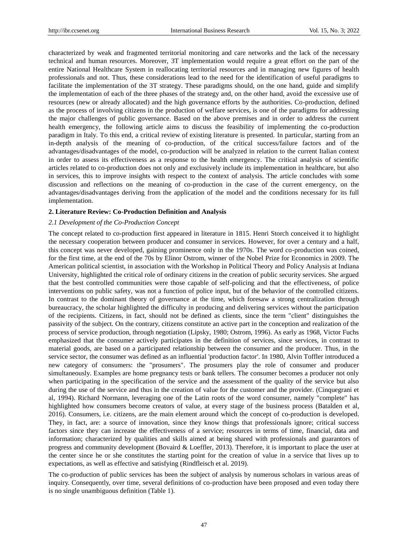characterized by weak and fragmented territorial monitoring and care networks and the lack of the necessary technical and human resources. Moreover, 3T implementation would require a great effort on the part of the entire National Healthcare System in reallocating territorial resources and in managing new figures of health professionals and not. Thus, these considerations lead to the need for the identification of useful paradigms to facilitate the implementation of the 3T strategy. These paradigms should, on the one hand, guide and simplify the implementation of each of the three phases of the strategy and, on the other hand, avoid the excessive use of resources (new or already allocated) and the high governance efforts by the authorities. Co-production, defined as the process of involving citizens in the production of welfare services, is one of the paradigms for addressing the major challenges of public governance. Based on the above premises and in order to address the current health emergency, the following article aims to discuss the feasibility of implementing the co-production paradigm in Italy. To this end, a critical review of existing literature is presented. In particular, starting from an in-depth analysis of the meaning of co-production, of the critical success/failure factors and of the advantages/disadvantages of the model, co-production will be analyzed in relation to the current Italian context in order to assess its effectiveness as a response to the health emergency. The critical analysis of scientific articles related to co-production does not only and exclusively include its implementation in healthcare, but also in services, this to improve insights with respect to the context of analysis. The article concludes with some discussion and reflections on the meaning of co-production in the case of the current emergency, on the advantages/disadvantages deriving from the application of the model and the conditions necessary for its full implementation.

#### **2. Literature Review: Co-Production Definition and Analysis**

#### *2.1 Development of the Co-Production Concept*

The concept related to co-production first appeared in literature in 1815. Henri Storch conceived it to highlight the necessary cooperation between producer and consumer in services. However, for over a century and a half, this concept was never developed, gaining prominence only in the 1970s. The word co-production was coined, for the first time, at the end of the 70s by Elinor Ostrom, winner of the Nobel Prize for Economics in 2009. The American political scientist, in association with the Workshop in Political Theory and Policy Analysis at Indiana University, highlighted the critical role of ordinary citizens in the creation of public security services. She argued that the best controlled communities were those capable of self-policing and that the effectiveness, of police interventions on public safety, was not a function of police input, but of the behavior of the controlled citizens. In contrast to the dominant theory of governance at the time, which foresaw a strong centralization through bureaucracy, the scholar highlighted the difficulty in producing and delivering services without the participation of the recipients. Citizens, in fact, should not be defined as clients, since the term "client" distinguishes the passivity of the subject. On the contrary, citizens constitute an active part in the conception and realization of the process of service production, through negotiation (Lipsky, 1980; Ostrom, 1996). As early as 1968, Victor Fuchs emphasized that the consumer actively participates in the definition of services, since services, in contrast to material goods, are based on a participated relationship between the consumer and the producer. Thus, in the service sector, the consumer was defined as an influential 'production factor'. In 1980, Alvin Toffler introduced a new category of consumers: the "prosumers". The prosumers play the role of consumer and producer simultaneously. Examples are home pregnancy tests or bank tellers. The consumer becomes a producer not only when participating in the specification of the service and the assessment of the quality of the service but also during the use of the service and thus in the creation of value for the customer and the provider. (Cinquegrani et al, 1994). Richard Normann, leveraging one of the Latin roots of the word consumer, namely "complete" has highlighted how consumers become creators of value, at every stage of the business process (Batalden et al, 2016). Consumers, i.e. citizens, are the main element around which the concept of co-production is developed. They, in fact, are: a source of innovation, since they know things that professionals ignore; critical success factors since they can increase the effectiveness of a service; resources in terms of time, financial, data and information; characterized by qualities and skills aimed at being shared with professionals and guarantors of progress and community development (Bovaird & Loeffler, 2013). Therefore, it is important to place the user at the center since he or she constitutes the starting point for the creation of value in a service that lives up to expectations, as well as effective and satisfying (Rindfleisch et al. 2019).

The co-production of public services has been the subject of analysis by numerous scholars in various areas of inquiry. Consequently, over time, several definitions of co-production have been proposed and even today there is no single unambiguous definition (Table 1).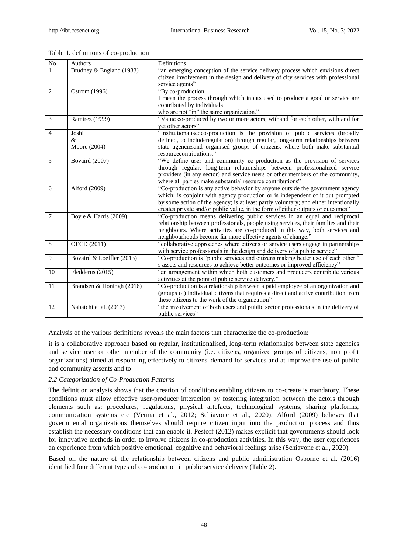| $\rm No$       | Authors                   | Definitions                                                                                                                                                                            |
|----------------|---------------------------|----------------------------------------------------------------------------------------------------------------------------------------------------------------------------------------|
| 1              | Brudney & England (1983)  | "an emerging conception of the service delivery process which envisions direct<br>citizen involvement in the design and delivery of city services with professional<br>service agents" |
| $\overline{2}$ | Ostrom (1996)             | "By co-production,                                                                                                                                                                     |
|                |                           | I mean the process through which inputs used to produce a good or service are<br>contributed by individuals<br>who are not "in" the same organization."                                |
| $\overline{3}$ | Ramirez (1999)            | "Value co-produced by two or more actors, withand for each other, with and for<br>vet other actors"                                                                                    |
| $\overline{4}$ | Joshi                     | "Institutionalisedco-production is the provision of public services (broadly                                                                                                           |
|                | &                         | defined, to includeregulation) through regular, long-term relationships between                                                                                                        |
|                | Moore (2004)              | state agenciesand organised groups of citizens, where both make substantial<br>resourcecontributions."                                                                                 |
| 5              | Bovaird (2007)            | "We define user and community co-production as the provision of services                                                                                                               |
|                |                           | through regular, long-term relationships between professionalized service                                                                                                              |
|                |                           | providers (in any sector) and service users or other members of the community,                                                                                                         |
|                |                           | where all parties make substantial resource contributions"                                                                                                                             |
| 6              | Alford (2009)             | "Co-production is any active behavior by anyone outside the government agency<br>which: is conjoint with agency production or is independent of it but prompted                        |
|                |                           | by some action of the agency; is at least partly voluntary; and either intentionally                                                                                                   |
|                |                           | creates private and/or public value, in the form of either outputs or outcomes"                                                                                                        |
| $\overline{7}$ | Boyle & Harris (2009)     | "Co-production means delivering public services in an equal and reciprocal                                                                                                             |
|                |                           | relationship between professionals, people using services, their families and their                                                                                                    |
|                |                           | neighbours. Where activities are co-produced in this way, both services and                                                                                                            |
|                |                           | neighbourhoods become far more effective agents of change."                                                                                                                            |
| 8              | OECD (2011)               | "collaborative approaches where citizens or service users engage in partnerships                                                                                                       |
| 9              |                           | with service professionals in the design and delivery of a public service"                                                                                                             |
|                | Bovaird & Loeffler (2013) | "Co-production is "public services and citizens making better use of each other"<br>s assets and resources to achieve better outcomes or improved efficiency"                          |
| 10             | Fledderus (2015)          | "an arrangement within which both customers and producers contribute various                                                                                                           |
|                |                           | activities at the point of public service delivery."                                                                                                                                   |
| 11             | Brandsen & Honingh (2016) | "Co-production is a relationship between a paid employee of an organization and                                                                                                        |
|                |                           | (groups of) individual citizens that requires a direct and active contribution from                                                                                                    |
|                |                           | these citizens to the work of the organization"                                                                                                                                        |
| 12             | Nabatchi et al. (2017)    | "the involvement of both users and public sector professionals in the delivery of                                                                                                      |
|                |                           | public services"                                                                                                                                                                       |

## Table 1. definitions of co-production

Analysis of the various definitions reveals the main factors that characterize the co-production:

it is a collaborative approach based on regular, institutionalised, long-term relationships between state agencies and service user or other member of the community (i.e. citizens, organized groups of citizens, non profit organizations) aimed at responding effectively to citizens' demand for services and at improve the use of public and community assents and to

# *2.2 Categorization of Co-Production Patterns*

The definition analysis shows that the creation of conditions enabling citizens to co-create is mandatory. These conditions must allow effective user-producer interaction by fostering integration between the actors through elements such as: procedures, regulations, physical artefacts, technological systems, sharing platforms, communication systems etc (Verma et al., 2012; Schiavone et al., 2020). Alford (2009) believes that governmental organizations themselves should require citizen input into the production process and thus establish the necessary conditions that can enable it. Pestoff (2012) makes explicit that governments should look for innovative methods in order to involve citizens in co-production activities. In this way, the user experiences an experience from which positive emotional, cognitive and behavioral feelings arise (Schiavone et al., 2020).

Based on the nature of the relationship between citizens and public administration Osborne et al. (2016) identified four different types of co-production in public service delivery (Table 2).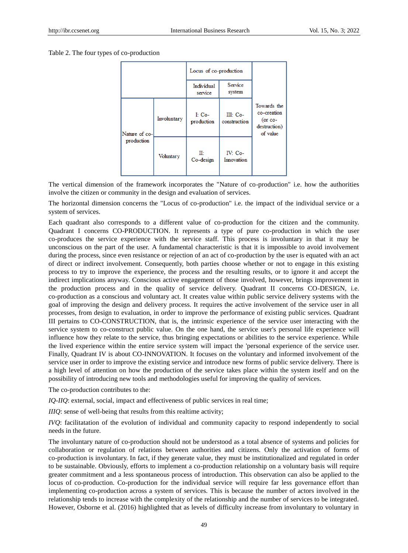Table 2. The four types of co-production

|                             | Locus of co-production |                        |                          |                                                                      |
|-----------------------------|------------------------|------------------------|--------------------------|----------------------------------------------------------------------|
|                             |                        | Individual<br>service  | Service<br>system        |                                                                      |
| Nature of co-<br>production | Involuntary            | $I: Co-$<br>production | III: Co-<br>construction | Towards the<br>co-creation<br>$($ or co-<br>destruction)<br>of value |
|                             | <b>Voluntary</b>       | IĿ<br>Co-design        | IV: Co-<br>Innovation    |                                                                      |

The vertical dimension of the framework incorporates the "Nature of co-production" i.e. how the authorities involve the citizen or community in the design and evaluation of services.

The horizontal dimension concerns the "Locus of co-production" i.e. the impact of the individual service or a system of services.

Each quadrant also corresponds to a different value of co-production for the citizen and the community. Quadrant I concerns CO-PRODUCTION. It represents a type of pure co-production in which the user co-produces the service experience with the service staff. This process is involuntary in that it may be unconscious on the part of the user. A fundamental characteristic is that it is impossible to avoid involvement during the process, since even resistance or rejection of an act of co-production by the user is equated with an act of direct or indirect involvement. Consequently, both parties choose whether or not to engage in this existing process to try to improve the experience, the process and the resulting results, or to ignore it and accept the indirect implications anyway. Conscious active engagement of those involved, however, brings improvement in the production process and in the quality of service delivery. Quadrant II concerns CO-DESIGN, i.e. co-production as a conscious and voluntary act. It creates value within public service delivery systems with the goal of improving the design and delivery process. It requires the active involvement of the service user in all processes, from design to evaluation, in order to improve the performance of existing public services. Quadrant III pertains to CO-CONSTRUCTION, that is, the intrinsic experience of the service user interacting with the service system to co-construct public value. On the one hand, the service user's personal life experience will influence how they relate to the service, thus bringing expectations or abilities to the service experience. While the lived experience within the entire service system will impact the 'personal experience of the service user. Finally, Quadrant IV is about CO-INNOVATION. It focuses on the voluntary and informed involvement of the service user in order to improve the existing service and introduce new forms of public service delivery. There is a high level of attention on how the production of the service takes place within the system itself and on the possibility of introducing new tools and methodologies useful for improving the quality of services.

The co-production contributes to the:

*IQ-IIQ*: external, social, impact and effectiveness of public services in real time;

*IIIQ*: sense of well-being that results from this realtime activity;

*IVQ*: facilitatation of the evolution of individual and community capacity to respond independently to social needs in the future.

The involuntary nature of co-production should not be understood as a total absence of systems and policies for collaboration or regulation of relations between authorities and citizens. Only the activation of forms of co-production is involuntary. In fact, if they generate value, they must be institutionalized and regulated in order to be sustainable. Obviously, efforts to implement a co-production relationship on a voluntary basis will require greater commitment and a less spontaneous process of introduction. This observation can also be applied to the locus of co-production. Co-production for the individual service will require far less governance effort than implementing co-production across a system of services. This is because the number of actors involved in the relationship tends to increase with the complexity of the relationship and the number of services to be integrated. However, Osborne et al. (2016) highlighted that as levels of difficulty increase from involuntary to voluntary in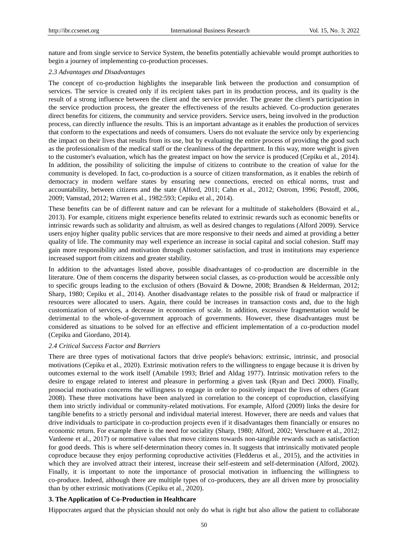nature and from single service to Service System, the benefits potentially achievable would prompt authorities to begin a journey of implementing co-production processes.

#### *2.3 Advantages and Disadvantages*

The concept of co-production highlights the inseparable link between the production and consumption of services. The service is created only if its recipient takes part in its production process, and its quality is the result of a strong influence between the client and the service provider. The greater the client's participation in the service production process, the greater the effectiveness of the results achieved. Co-production generates direct benefits for citizens, the community and service providers. Service users, being involved in the production process, can directly influence the results. This is an important advantage as it enables the production of services that conform to the expectations and needs of consumers. Users do not evaluate the service only by experiencing the impact on their lives that results from its use, but by evaluating the entire process of providing the good such as the professionalism of the medical staff or the cleanliness of the department. In this way, more weight is given to the customer's evaluation, which has the greatest impact on how the service is produced (Cepiku et al., 2014). In addition, the possibility of soliciting the impulse of citizens to contribute to the creation of value for the community is developed. In fact, co-production is a source of citizen transformation, as it enables the rebirth of democracy in modern welfare states by ensuring new connections, erected on ethical norms, trust and accountability, between citizens and the state (Alford, 2011; Cahn et al., 2012; Ostrom, 1996; Pestoff, 2006, 2009; Vamstad, 2012; Warren et al., 1982:593; Cepiku et al., 2014).

These benefits can be of different nature and can be relevant for a multitude of stakeholders (Bovaird et al., 2013). For example, citizens might experience benefits related to extrinsic rewards such as economic benefits or intrinsic rewards such as solidarity and altruism, as well as desired changes to regulations (Alford 2009). Service users enjoy higher quality public services that are more responsive to their needs and aimed at providing a better quality of life. The community may well experience an increase in social capital and social cohesion. Staff may gain more responsibility and motivation through customer satisfaction, and trust in institutions may experience increased support from citizens and greater stability.

In addition to the advantages listed above, possible disadvantages of co-production are discernible in the literature. One of them concerns the disparity between social classes, as co-production would be accessible only to specific groups leading to the exclusion of others (Bovaird & Downe, 2008; Brandsen & Helderman, 2012; Sharp, 1980; Cepiku et al., 2014). Another disadvantage relates to the possible risk of fraud or malpractice if resources were allocated to users. Again, there could be increases in transaction costs and, due to the high customization of services, a decrease in economies of scale. In addition, excessive fragmentation would be detrimental to the whole-of-government approach of governments. However, these disadvantages must be considered as situations to be solved for an effective and efficient implementation of a co-production model (Cepiku and Giordano, 2014).

#### *2.4 Critical Success Factor and Barriers*

There are three types of motivational factors that drive people's behaviors: extrinsic, intrinsic, and prosocial motivations (Cepiku et al., 2020). Extrinsic motivation refers to the willingness to engage because it is driven by outcomes external to the work itself (Amabile 1993; Brief and Aldag 1977). Intrinsic motivation refers to the desire to engage related to interest and pleasure in performing a given task (Ryan and Deci 2000). Finally, prosocial motivation concerns the willingness to engage in order to positively impact the lives of others (Grant 2008). These three motivations have been analyzed in correlation to the concept of coproduction, classifying them into strictly individual or community-related motivations. For example, Alford (2009) links the desire for tangible benefits to a strictly personal and individual material interest. However, there are needs and values that drive individuals to participate in co-production projects even if it disadvantages them financially or ensures no economic return. For example there is the need for sociality (Sharp, 1980; Alford, 2002; Verschuere et al., 2012; Vanleene et al., 2017) or normative values that move citizens towards non-tangible rewards such as satisfaction for good deeds. This is where self-determination theory comes in. It suggests that intrinsically motivated people coproduce because they enjoy performing coproductive activities (Fledderus et al., 2015), and the activities in which they are involved attract their interest, increase their self-esteem and self-determination (Alford, 2002). Finally, it is important to note the importance of prosocial motivation in influencing the willingness to co-produce. Indeed, although there are multiple types of co-producers, they are all driven more by prosociality than by other extrinsic motivations (Cepiku et al., 2020).

## **3. The Application of Co-Production in Healthcare**

Hippocrates argued that the physician should not only do what is right but also allow the patient to collaborate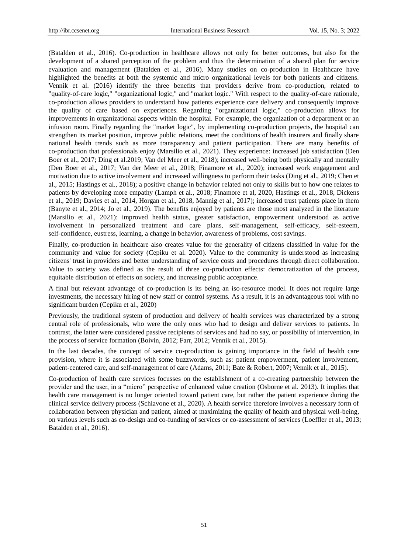(Batalden et al., 2016). Co-production in healthcare allows not only for better outcomes, but also for the development of a shared perception of the problem and thus the determination of a shared plan for service evaluation and management (Batalden et al., 2016). Many studies on co-production in Healthcare have highlighted the benefits at both the systemic and micro organizational levels for both patients and citizens. Vennik et al. (2016) identify the three benefits that providers derive from co-production, related to "quality-of-care logic," "organizational logic," and "market logic." With respect to the quality-of-care rationale, co-production allows providers to understand how patients experience care delivery and consequently improve the quality of care based on experiences. Regarding "organizational logic," co-production allows for improvements in organizational aspects within the hospital. For example, the organization of a department or an infusion room. Finally regarding the "market logic", by implementing co-production projects, the hospital can strengthen its market position, improve public relations, meet the conditions of health insurers and finally share national health trends such as more transparency and patient participation. There are many benefits of co-production that professionals enjoy (Marsilio et al., 2021). They experience: increased job satisfaction (Den Boer et al., 2017; Ding et al.2019; Van del Meer et al., 2018); increased well-being both physically and mentally (Den Boer et al., 2017; Van der Meer et al., 2018; Finamore et al., 2020); increased work engagement and motivation due to active involvement and increased willingness to perform their tasks (Ding et al., 2019; Chen et al., 2015; Hastings et al., 2018); a positive change in behavior related not only to skills but to how one relates to patients by developing more empathy (Lamph et al., 2018; Finamore et al, 2020, Hastings et al., 2018, Dickens et al., 2019; Davies et al., 2014, Horgan et al., 2018, Mannig et al., 2017); increased trust patients place in them (Banyte et al., 2014; Jo et al., 2019). The benefits enjoyed by patients are those most analyzed in the literature (Marsilio et al., 2021): improved health status, greater satisfaction, empowerment understood as active involvement in personalized treatment and care plans, self-management, self-efficacy, self-esteem, self-confidence, eustress, learning, a change in behavior, awareness of problems, cost savings.

Finally, co-production in healthcare also creates value for the generality of citizens classified in value for the community and value for society (Cepiku et al. 2020). Value to the community is understood as increasing citizens' trust in providers and better understanding of service costs and procedures through direct collaboration. Value to society was defined as the result of three co-production effects: democratization of the process, equitable distribution of effects on society, and increasing public acceptance.

A final but relevant advantage of co-production is its being an iso-resource model. It does not require large investments, the necessary hiring of new staff or control systems. As a result, it is an advantageous tool with no significant burden (Cepiku et al., 2020)

Previously, the traditional system of production and delivery of health services was characterized by a strong central role of professionals, who were the only ones who had to design and deliver services to patients. In contrast, the latter were considered passive recipients of services and had no say, or possibility of intervention, in the process of service formation (Boivin, 2012; Farr, 2012; Vennik et al., 2015).

In the last decades, the concept of service co-production is gaining importance in the field of health care provision, where it is associated with some buzzwords, such as: patient empowerment, patient involvement, patient-centered care, and self-management of care (Adams, 2011; Bate & Robert, 2007; Vennik et al., 2015).

Co-production of health care services focusses on the establishment of a co-creating partnership between the provider and the user, in a "micro" perspective of enhanced value creation (Osborne et al. 2013). It implies that health care management is no longer oriented toward patient care, but rather the patient experience during the clinical service delivery process (Schiavone et al., 2020). A health service therefore involves a necessary form of collaboration between physician and patient, aimed at maximizing the quality of health and physical well-being, on various levels such as co-design and co-funding of services or co-assessment of services (Loeffler et al., 2013; Batalden et al., 2016).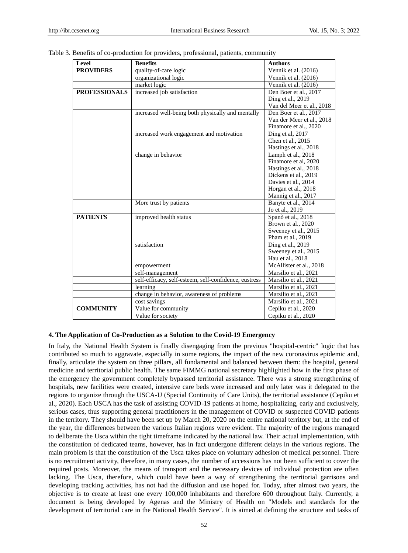| Level                | <b>Benefits</b>                                       | <b>Authors</b>                                   |
|----------------------|-------------------------------------------------------|--------------------------------------------------|
| <b>PROVIDERS</b>     | quality-of-care logic                                 | Vennik et al. (2016)                             |
|                      | organizational logic                                  | Vennik et al. (2016)                             |
|                      | market logic                                          | Vennik et al. $(2016)$                           |
| <b>PROFESSIONALS</b> | increased job satisfaction                            | Den Boer et al., 2017                            |
|                      |                                                       | Ding et al., 2019                                |
|                      |                                                       | Van del Meer et al., 2018                        |
|                      | increased well-being both physically and mentally     | Den Boer et al., 2017                            |
|                      |                                                       | Van der Meer et al., 2018                        |
|                      |                                                       | Finamore et al., 2020                            |
|                      | increased work engagement and motivation              | Ding et al, 2017                                 |
|                      |                                                       | Chen et al., 2015                                |
|                      |                                                       | Hastings et al., 2018                            |
|                      | change in behavior                                    | Lamph et al., 2018                               |
|                      |                                                       | Finamore et al, 2020                             |
|                      |                                                       | Hastings et al., 2018                            |
|                      |                                                       | Dickens et al., 2019                             |
|                      |                                                       | Davies et al., 2014                              |
|                      |                                                       | Horgan et al., 2018                              |
|                      |                                                       | Mannig et al., 2017                              |
|                      | More trust by patients                                | Banyte et al., 2014                              |
|                      |                                                       | Jo et al., 2019                                  |
| <b>PATIENTS</b>      | improved health status                                | Span det al., 2018                               |
|                      |                                                       | Brown et al., 2020                               |
|                      |                                                       | Sweeney et al., 2015                             |
|                      |                                                       | Pham et al., 2019                                |
|                      | satisfaction                                          | Ding et al., 2019                                |
|                      |                                                       | Sweeney et al., 2015<br>Hau et al., 2018         |
|                      |                                                       |                                                  |
|                      | empowerment                                           | McAllister et al., 2018<br>Marsilio et al., 2021 |
|                      | self-management                                       |                                                  |
|                      | self-efficacy, self-esteem, self-confidence, eustress | Marsilio et al., 2021                            |
|                      | learning                                              | $\overline{\text{M}}$ arsilio et al., 2021       |
|                      | change in behavior, awareness of problems             | Marsilio et al., 2021                            |
|                      | cost savings                                          | Marsilio et al., 2021                            |
| <b>COMMUNITY</b>     | Value for community                                   | Cepiku et al., 2020                              |
|                      | Value for society                                     | Cepiku et al., 2020                              |

Table 3. Benefits of co-production for providers, professional, patients, community

## **4. The Application of Co-Production as a Solution to the Covid-19 Emergency**

In Italy, the National Health System is finally disengaging from the previous "hospital-centric" logic that has contributed so much to aggravate, especially in some regions, the impact of the new coronavirus epidemic and, finally, articulate the system on three pillars, all fundamental and balanced between them: the hospital, general medicine and territorial public health. The same FIMMG national secretary highlighted how in the first phase of the emergency the government completely bypassed territorial assistance. There was a strong strengthening of hospitals, new facilities were created, intensive care beds were increased and only later was it delegated to the regions to organize through the USCA-U (Special Continuity of Care Units), the territorial assistance (Cepiku et al., 2020). Each USCA has the task of assisting COVID-19 patients at home, hospitalizing, early and exclusively, serious cases, thus supporting general practitioners in the management of COVID or suspected COVID patients in the territory. They should have been set up by March 20, 2020 on the entire national territory but, at the end of the year, the differences between the various Italian regions were evident. The majority of the regions managed to deliberate the Usca within the tight timeframe indicated by the national law. Their actual implementation, with the constitution of dedicated teams, however, has in fact undergone different delays in the various regions. The main problem is that the constitution of the Usca takes place on voluntary adhesion of medical personnel. There is no recruitment activity, therefore, in many cases, the number of accessions has not been sufficient to cover the required posts. Moreover, the means of transport and the necessary devices of individual protection are often lacking. The Usca, therefore, which could have been a way of strengthening the territorial garrisons and developing tracking activities, has not had the diffusion and use hoped for. Today, after almost two years, the objective is to create at least one every 100,000 inhabitants and therefore 600 throughout Italy. Currently, a document is being developed by Agenas and the Ministry of Health on "Models and standards for the development of territorial care in the National Health Service". It is aimed at defining the structure and tasks of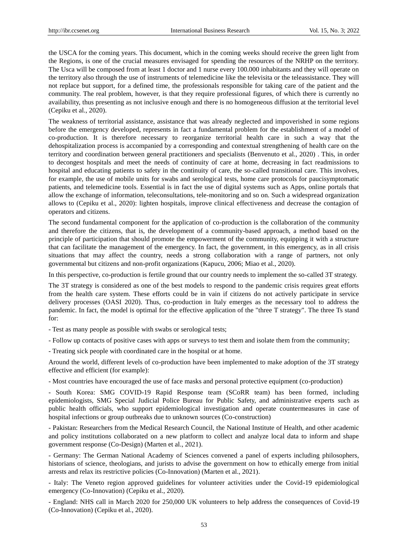the USCA for the coming years. This document, which in the coming weeks should receive the green light from the Regions, is one of the crucial measures envisaged for spending the resources of the NRHP on the territory. The Usca will be composed from at least 1 doctor and 1 nurse every 100.000 inhabitants and they will operate on the territory also through the use of instruments of telemedicine like the televisita or the teleassistance. They will not replace but support, for a defined time, the professionals responsible for taking care of the patient and the community. The real problem, however, is that they require professional figures, of which there is currently no availability, thus presenting as not inclusive enough and there is no homogeneous diffusion at the territorial level (Cepiku et al., 2020).

The weakness of territorial assistance, assistance that was already neglected and impoverished in some regions before the emergency developed, represents in fact a fundamental problem for the establishment of a model of co-production. It is therefore necessary to reorganize territorial health care in such a way that the dehospitalization process is accompanied by a corresponding and contextual strengthening of health care on the territory and coordination between general practitioners and specialists (Benvenuto et al., 2020) . This, in order to decongest hospitals and meet the needs of continuity of care at home, decreasing in fact readmissions to hospital and educating patients to safety in the continuity of care, the so-called transitional care. This involves, for example, the use of mobile units for swabs and serological tests, home care protocols for paucisymptomatic patients, and telemedicine tools. Essential is in fact the use of digital systems such as Apps, online portals that allow the exchange of information, teleconsultations, tele-monitoring and so on. Such a widespread organization allows to (Cepiku et al., 2020): lighten hospitals, improve clinical effectiveness and decrease the contagion of operators and citizens.

The second fundamental component for the application of co-production is the collaboration of the community and therefore the citizens, that is, the development of a community-based approach, a method based on the principle of participation that should promote the empowerment of the community, equipping it with a structure that can facilitate the management of the emergency. In fact, the government, in this emergency, as in all crisis situations that may affect the country, needs a strong collaboration with a range of partners, not only governmental but citizens and non-profit organizations (Kapucu, 2006; Miao et al., 2020).

In this perspective, co-production is fertile ground that our country needs to implement the so-called 3T strategy.

The 3T strategy is considered as one of the best models to respond to the pandemic crisis requires great efforts from the health care system. These efforts could be in vain if citizens do not actively participate in service delivery processes (OASI 2020). Thus, co-production in Italy emerges as the necessary tool to address the pandemic. In fact, the model is optimal for the effective application of the "three T strategy". The three Ts stand for:

- Test as many people as possible with swabs or serological tests;

- Follow up contacts of positive cases with apps or surveys to test them and isolate them from the community;

- Treating sick people with coordinated care in the hospital or at home.

Around the world, different levels of co-production have been implemented to make adoption of the 3T strategy effective and efficient (for example):

- Most countries have encouraged the use of face masks and personal protective equipment (co-production)

- South Korea: SMG COVID-19 Rapid Response team (SCoRR team) has been formed, including epidemiologists, SMG Special Judicial Police Bureau for Public Safety, and administrative experts such as public health officials, who support epidemiological investigation and operate countermeasures in case of hospital infections or group outbreaks due to unknown sources (Co-construction)

- Pakistan: Researchers from the Medical Research Council, the National Institute of Health, and other academic and policy institutions collaborated on a new platform to collect and analyze local data to inform and shape government response (Co-Design) (Marten et al., 2021).

- Germany: The German National Academy of Sciences convened a panel of experts including philosophers, historians of science, theologians, and jurists to advise the government on how to ethically emerge from initial arrests and relax its restrictive policies (Co-Innovation) (Marten et al., 2021).

- Italy: The Veneto region approved guidelines for volunteer activities under the Covid-19 epidemiological emergency (Co-Innovation) (Cepiku et al., 2020).

- England: NHS call in March 2020 for 250,000 UK volunteers to help address the consequences of Covid-19 (Co-Innovation) (Cepiku et al., 2020).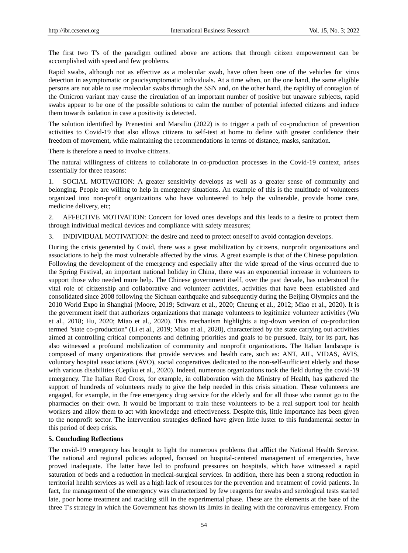The first two T's of the paradigm outlined above are actions that through citizen empowerment can be accomplished with speed and few problems.

Rapid swabs, although not as effective as a molecular swab, have often been one of the vehicles for virus detection in asymptomatic or paucisymptomatic individuals. At a time when, on the one hand, the same eligible persons are not able to use molecular swabs through the SSN and, on the other hand, the rapidity of contagion of the Omicron variant may cause the circulation of an important number of positive but unaware subjects, rapid swabs appear to be one of the possible solutions to calm the number of potential infected citizens and induce them towards isolation in case a positivity is detected.

The solution identified by Prenestini and Marsilio (2022) is to trigger a path of co-production of prevention activities to Covid-19 that also allows citizens to self-test at home to define with greater confidence their freedom of movement, while maintaining the recommendations in terms of distance, masks, sanitation.

There is therefore a need to involve citizens.

The natural willingness of citizens to collaborate in co-production processes in the Covid-19 context, arises essentially for three reasons:

1. SOCIAL MOTIVATION: A greater sensitivity develops as well as a greater sense of community and belonging. People are willing to help in emergency situations. An example of this is the multitude of volunteers organized into non-profit organizations who have volunteered to help the vulnerable, provide home care, medicine delivery, etc;

2. AFFECTIVE MOTIVATION: Concern for loved ones develops and this leads to a desire to protect them through individual medical devices and compliance with safety measures;

3. INDIVIDUAL MOTIVATION: the desire and need to protect oneself to avoid contagion develops.

During the crisis generated by Covid, there was a great mobilization by citizens, nonprofit organizations and associations to help the most vulnerable affected by the virus. A great example is that of the Chinese population. Following the development of the emergency and especially after the wide spread of the virus occurred due to the Spring Festival, an important national holiday in China, there was an exponential increase in volunteers to support those who needed more help. The Chinese government itself, over the past decade, has understood the vital role of citizenship and collaborative and volunteer activities, activities that have been established and consolidated since 2008 following the Sichuan earthquake and subsequently during the Beijing Olympics and the 2010 World Expo in Shanghai (Moore, 2019; Schwarz et al., 2020; Cheung et al., 2012; Miao et al., 2020). It is the government itself that authorizes organizations that manage volunteers to legitimize volunteer activities (Wu et al., 2018; Hu, 2020; Miao et al., 2020). This mechanism highlights a top-down version of co-production termed ''state co-production'' (Li et al., 2019; Miao et al., 2020), characterized by the state carrying out activities aimed at controlling critical components and defining priorities and goals to be pursued. Italy, for its part, has also witnessed a profound mobilization of community and nonprofit organizations. The Italian landscape is composed of many organizations that provide services and health care, such as: ANT, AIL, VIDAS, AVIS, voluntary hospital associations (AVO), social cooperatives dedicated to the non-self-sufficient elderly and those with various disabilities (Cepiku et al., 2020). Indeed, numerous organizations took the field during the covid-19 emergency. The Italian Red Cross, for example, in collaboration with the Ministry of Health, has gathered the support of hundreds of volunteers ready to give the help needed in this crisis situation. These volunteers are engaged, for example, in the free emergency drug service for the elderly and for all those who cannot go to the pharmacies on their own. It would be important to train these volunteers to be a real support tool for health workers and allow them to act with knowledge and effectiveness. Despite this, little importance has been given to the nonprofit sector. The intervention strategies defined have given little luster to this fundamental sector in this period of deep crisis.

## **5. Concluding Reflections**

The covid-19 emergency has brought to light the numerous problems that afflict the National Health Service. The national and regional policies adopted, focused on hospital-centered management of emergencies, have proved inadequate. The latter have led to profound pressures on hospitals, which have witnessed a rapid saturation of beds and a reduction in medical-surgical services. In addition, there has been a strong reduction in territorial health services as well as a high lack of resources for the prevention and treatment of covid patients. In fact, the management of the emergency was characterized by few reagents for swabs and serological tests started late, poor home treatment and tracking still in the experimental phase. These are the elements at the base of the three T's strategy in which the Government has shown its limits in dealing with the coronavirus emergency. From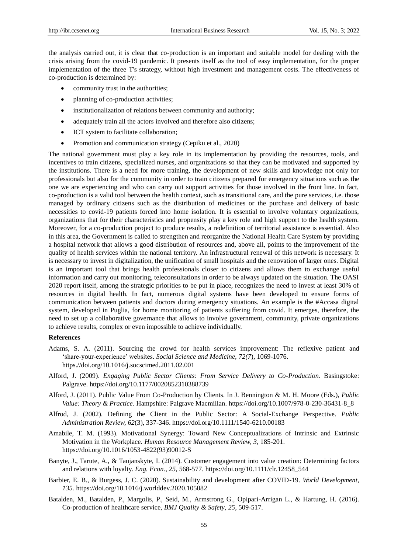the analysis carried out, it is clear that co-production is an important and suitable model for dealing with the crisis arising from the covid-19 pandemic. It presents itself as the tool of easy implementation, for the proper implementation of the three T's strategy, without high investment and management costs. The effectiveness of co-production is determined by:

- community trust in the authorities;
- planning of co-production activities;
- institutionalization of relations between community and authority;
- adequately train all the actors involved and therefore also citizens;
- ICT system to facilitate collaboration;
- Promotion and communication strategy (Cepiku et al., 2020)

The national government must play a key role in its implementation by providing the resources, tools, and incentives to train citizens, specialized nurses, and organizations so that they can be motivated and supported by the institutions. There is a need for more training, the development of new skills and knowledge not only for professionals but also for the community in order to train citizens prepared for emergency situations such as the one we are experiencing and who can carry out support activities for those involved in the front line. In fact, co-production is a valid tool between the health context, such as transitional care, and the pure services, i.e. those managed by ordinary citizens such as the distribution of medicines or the purchase and delivery of basic necessities to covid-19 patients forced into home isolation. It is essential to involve voluntary organizations, organizations that for their characteristics and propensity play a key role and high support to the health system. Moreover, for a co-production project to produce results, a redefinition of territorial assistance is essential. Also in this area, the Government is called to strengthen and reorganize the National Health Care System by providing a hospital network that allows a good distribution of resources and, above all, points to the improvement of the quality of health services within the national territory. An infrastructural renewal of this network is necessary. It is necessary to invest in digitalization, the unification of small hospitals and the renovation of larger ones. Digital is an important tool that brings health professionals closer to citizens and allows them to exchange useful information and carry out monitoring, teleconsultations in order to be always updated on the situation. The OASI 2020 report itself, among the strategic priorities to be put in place, recognizes the need to invest at least 30% of resources in digital health. In fact, numerous digital systems have been developed to ensure forms of communication between patients and doctors during emergency situations. An example is the #Accasa digital system, developed in Puglia, for home monitoring of patients suffering from covid. It emerges, therefore, the need to set up a collaborative governance that allows to involve government, community, private organizations to achieve results, complex or even impossible to achieve individually.

#### **References**

- Adams, S. A. (2011). Sourcing the crowd for health services improvement: The reflexive patient and "share-your-experience" websites. *Social Science and Medicine, 72(7*), 1069-1076. https.//doi.org/10.1016/j.socscimed.2011.02.001
- Alford, J. (2009). *Engaging Public Sector Clients: From Service Delivery to Co-Production*. Basingstoke: Palgrave. https://doi.org/10.1177/0020852310388739
- Alford, J. (2011). Public Value From Co-Production by Clients. In J. Bennington & M. H. Moore (Eds.), *Public Value: Theory & Practice*. Hampshire: Palgrave Macmillan. https://doi.org/10.1007/978-0-230-36431-8\_8
- Alfrod, J. (2002). Defining the Client in the Public Sector: A Social-Exchange Perspective. *Public Administration Review, 62*(3), 337-346. https://doi.org/10.1111/1540-6210.00183
- Amabile, T. M. (1993). Motivational Synergy: Toward New Conceptualizations of Intrinsic and Extrinsic Motivation in the Workplace. *Human Resource Management Review, 3*, 185-201. https://doi.org/10.1016/1053-4822(93)90012-S
- Banyte, J., Tarute, A., & Taujanskyte, I. (2014). Customer engagement into value creation: Determining factors and relations with loyalty. *Eng. Econ.*, *25*, 568-577. https://doi.org/10.1111/clr.12458\_544
- Barbier, E. B., & Burgess, J. C. (2020). Sustainability and development after COVID-19. *World Development, 135.* <https://doi.org/10.1016/j.worlddev.2020.105082>
- Batalden, M., Batalden, P., Margolis, P., Seid, M., Armstrong G., Opipari-Arrigan L., & Hartung, H. (2016). Co-production of healthcare service, *BMJ Quality & Safety*, *25,* 509-517.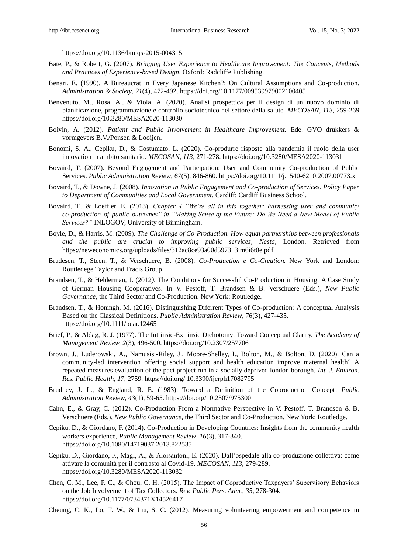https://doi.org/10.1136/bmjqs-2015-004315

- Bate, P., & Robert, G. (2007). *Bringing User Experience to Healthcare Improvement: The Concepts, Methods and Practices of Experience-based Design*. Oxford: Radcliffe Publishing.
- Benari, E. (1990). A Bureaucrat in Every Japanese Kitchen?: On Cultural Assumptions and Co-production. *Administration & Society*, *21*(4), 472-492[. https://doi.org/10.1177/009539979002100405](https://doi.org/10.1177/009539979002100405)
- Benvenuto, M., Rosa, A., & Viola, A. (2020). Analisi prospettica per il design di un nuovo dominio di pianificazione, programmazione e controllo sociotecnico nel settore della salute. *MECOSAN, 113,* 259-269 https://doi.org/10.3280/MESA2020-113030
- Boivin, A. (2012). *Patient and Public Involvement in Healthcare Improvement.* Ede: GVO drukkers & vormgevers B.V./Ponsen & Looijen.
- Bonomi, S. A., Cepiku, D., & Costumato, L. (2020). Co-produrre risposte alla pandemia il ruolo della user innovation in ambito sanitario. *MECOSAN, 113,* 271-278. https://doi.org/10.3280/MESA2020-113031
- Bovaird, T. (2007). Beyond Engagement and Participation: User and Community Co-production of Public Services. *Public Administration Review*, *67*(5), 846-860. https://doi.org/10.1111/j.1540-6210.2007.00773.x
- Bovaird, T., & Downe, J. (2008). *Innovation in Public Engagement and Co-production of Services. Policy Paper to Department of Communities and Local Government.* Cardiff: Cardiff Business School.
- Bovaird, T., & Loeffler, E. (2013). *Chapter 4 "We're all in this together: harnessing user and community co-production of public outcomes" in "Making Sense of the Future: Do We Need a New Model of Public Services?"* INLOGOV, University of Birmingham.
- Boyle, D., & Harris, M. (2009). *The Challenge of Co-Production. How equal partnerships between professionals and the public are crucial to improving public services, Nesta*, London. Retrieved from https://neweconomics.org/uploads/files/312ac8ce93a00d5973\_3im6i6t0e.pdf
- Bradesen, T., Steen, T., & Verschuere, B. (2008). *Co-Production e Co-Creation.* New York and London: Routledege Taylor and Fracis Group.
- Brandsen, T., & Helderman, J. (2012*).* The Conditions for Successful Co-Production in Housing: A Case Study of German Housing Cooperatives. In V. Pestoff, T. Brandsen & B. Verschuere (Eds.), *New Public Governance*, the Third Sector and Co-Production. New York: Routledge.
- Brandsen, T., & Honingh, M. (2016). Distinguishing Diferrent Types of Co-production: A conceptual Analysis Based on the Classical Definitions. *Public Administration Review*, *76*(3), 427-435. https://doi.org/10.1111/puar.12465
- Brief, P., & Aldag, R. J. (1977). The Intrinsic-Extrinsic Dichotomy: Toward Conceptual Clarity. *The Academy of Management Review, 2*(3), 496-500. https://doi.org/10.2307/257706
- Brown, J., Luderowski, A., Namusisi-Riley, J., Moore-Shelley, I., Bolton, M., & Bolton, D. (2020). Can a community-led intervention offering social support and health education improve maternal health? A repeated measures evaluation of the pact project run in a socially deprived london borough. *Int. J. Environ. Res. Public Health*, *17*, 2759. https://doi.org/ 10.3390/ijerph17082795
- Brudney, J. L., & England, R. E. (1983). Toward a Definition of the Coproduction Concept. *Public Administration Review*, *43*(1), 59-65. https://doi.org/10.2307/975300
- Cahn, E., & Gray, C. (2012). Co-Production From a Normative Perspective in V. Pestoff, T. Brandsen & B. Verschuere (Eds.)*, New Public Governance*, the Third Sector and Co-Production. New York: Routledge.
- Cepiku, D., & Giordano, F. (2014). Co-Production in Developing Countries: Insights from the community health workers experience, *Public Management Review*, *16*(3), 317-340. https://doi.org/10.1080/14719037.2013.822535
- Cepiku, D., Giordano, F., Magi, A., & Aloisantoni, E. (2020). Dall"ospedale alla co-produzione collettiva: come attivare la comunità per il contrasto al Covid-19. *MECOSAN*, *113,* 279-289. https://doi.org/10.3280/MESA2020-113032
- Chen, C. M., Lee, P. C., & Chou, C. H. (2015). The Impact of Coproductive Taxpayers" Supervisory Behaviors on the Job Involvement of Tax Collectors. *Rev. Public Pers. Adm.*, *35*, 278-304. https://doi.org/10.1177/0734371X14526417
- Cheung, C. K., Lo, T. W., & Liu, S. C. (2012). Measuring volunteering empowerment and competence in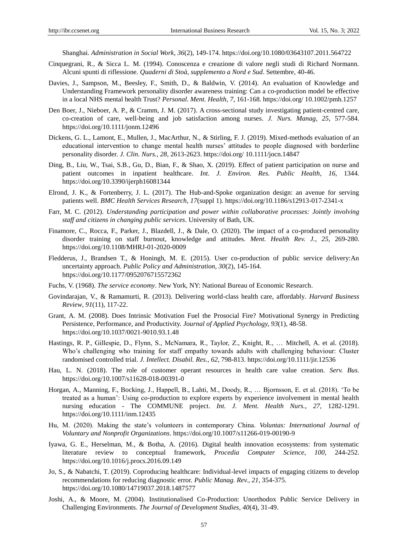Shanghai. *Administration in Social Work*, *36*(2), 149-174. https://doi.org/10.1080/03643107.2011.564722

- Cinquegrani, R., & Sicca L. M. (1994). Conoscenza e creazione di valore negli studi di Richard Normann. Alcuni spunti di riflessione. *Quaderni di Stoà, supplemento a Nord e Sud*. Settembre, 40-46.
- Davies, J., Sampson, M., Beesley, F., Smith, D., & Baldwin, V. (2014). An evaluation of Knowledge and Understanding Framework personality disorder awareness training: Can a co-production model be effective in a local NHS mental health Trust? *Personal. Ment. Health*, *7*, 161-168. https://doi.org/ 10.1002/pmh.1257
- Den Boer, J., Nieboer, A. P., & Cramm, J. M. (2017). A cross-sectional study investigating patient-centred care, co-creation of care, well-being and job satisfaction among nurses. *J. Nurs. Manag, 25*, 577-584. https://doi.org[/10.1111/jonm.12496](https://doi.org/10.1111/jonm.12496)
- Dickens, G. L., Lamont, E., Mullen, J., MacArthur, N., & Stirling, F. J. (2019). Mixed-methods evaluation of an educational intervention to change mental health nurses" attitudes to people diagnosed with borderline personality disorder. *J. Clin. Nurs.*, *28*, 2613-2623. https://doi.org/ 10.1111/jocn.14847
- Ding, B., Liu, W., Tsai, S.B., Gu, D., Bian, F., & Shao, X. (2019). Effect of patient participation on nurse and patient outcomes in inpatient healthcare. *Int. J. Environ. Res. Public Health*, *16*, 1344. https://doi.org/10.3390/ijerph16081344
- Elrond, J. K., & Fortenberry, J. L. (2017). The Hub-and-Spoke organization design: an avenue for serving patients well. *BMC Health Services Research*, *17*(suppl 1). https://doi.org/10.1186/s12913-017-2341-x
- Farr, M. C. (2012). *Understanding participation and power within collaborative processes: Jointly involving staff and citizens in changing public services*. University of Bath, UK.
- Finamore, C., Rocca, F., Parker, J., Blazdell, J., & Dale, O. (2020). The impact of a co-produced personality disorder training on staff burnout, knowledge and attitudes. *Ment. Health Rev. J., 25,* 269-280. https://doi.org/10.1108/MHRJ-01-2020-0009
- Fledderus, J., Brandsen T., & Honingh, M. E. (2015). User co-production of public service delivery:An uncertainty approach. *Public Policy and Administration, 30*(2), 145-164. https://doi.org/10.1177/0952076715572362
- Fuchs, V. (1968). *The service economy*. New York, NY: National Bureau of Economic Research.
- Govindarajan, V., & Ramamurti, R. (2013). Delivering world-class health care, affordably*. Harvard Business Review*, *91*(11), 117-22.
- Grant, A. M. (2008). Does Intrinsic Motivation Fuel the Prosocial Fire? Motivational Synergy in Predicting Persistence, Performance, and Productivity. *Journal of Applied Psychology, 93*(1), 48-58. https://doi.org/10.1037/0021-9010.93.1.48
- Hastings, R. P., Gillespie, D., Flynn, S., McNamara, R., Taylor, Z., Knight, R., … Mitchell, A. et al. (2018). Who"s challenging who training for staff empathy towards adults with challenging behaviour: Cluster randomised controlled trial. *J. Intellect. Disabil. Res.*, *62*, 798-813. https://doi.org/10.1111/jir.12536
- Hau, L. N. (2018). The role of customer operant resources in health care value creation. *Serv. Bus.*  https://doi.org/10.1007/s11628-018-00391-0
- Horgan, A., Manning, F., Bocking, J., Happell, B., Lahti, M., Doody, R., … Bjornsson, E. et al. (2018). "To be treated as a human": Using co-production to explore experts by experience involvement in mental health nursing education - The COMMUNE project. *Int. J. Ment. Health Nurs.*, *27*, 1282-1291. https://doi.org/10.1111/inm.12435
- Hu, M. (2020). Making the state"s volunteers in contemporary China. *Voluntas: International Journal of Voluntary and Nonprofit Organizations*[. https://doi.org/10.1007/s11266-019-00190-9](https://doi.org/10.1007/s11266-019-00190-9)
- Iyawa, G. E., Herselman, M., & Botha, A. (2016). Digital health innovation ecosystems: from systematic literature review to conceptual framework, *Procedia Computer Science*, *100,* 244-252. https://doi.org/10.1016/j.procs.2016.09.149
- Jo, S., & Nabatchi, T. (2019). Coproducing healthcare: Individual-level impacts of engaging citizens to develop recommendations for reducing diagnostic error. *Public Manag. Rev.*, *21*, 354-375. https://doi.org/10.1080/14719037.2018.1487577
- Joshi, A., & Moore, M. (2004). Institutionalised Co-Production: Unorthodox Public Service Delivery in Challenging Environments. *The Journal of Development Studies*, *40*(4), 31-49.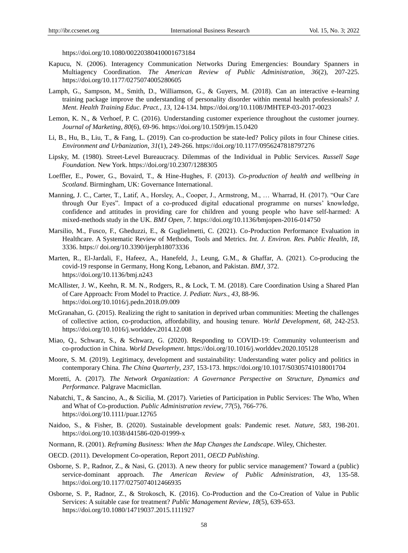<https://doi.org/10.1080/00220380410001673184>

- Kapucu, N. (2006). Interagency Communication Networks During Emergencies: Boundary Spanners in Multiagency Coordination. *The American Review of Public Administration*, *36*(2), 207-225. https://doi.org/10.1177/0275074005280605
- Lamph, G., Sampson, M., Smith, D., Williamson, G., & Guyers, M. (2018). Can an interactive e-learning training package improve the understanding of personality disorder within mental health professionals? *J. Ment. Health Training Educ. Pract.*, *13*, 124-134. https://doi.org/10.1108/JMHTEP-03-2017-0023
- Lemon, K. N., & Verhoef, P. C. (2016). Understanding customer experience throughout the customer journey. *Journal of Marketing, 80*(6), 69-96. https://doi.org/10.1509/jm.15.0420
- Li, B., Hu, B., Liu, T., & Fang, L. (2019). Can co-production be state-led? Policy pilots in four Chinese cities. *Environment and Urbanization*, *31*(1), 249-266. https://doi.org/10.1177/0956247818797276
- Lipsky, M. (1980). Street-Level Bureaucracy. Dilemmas of the Individual in Public Services. *Russell Sage Foundation.* New York. https://doi.org/10.2307/1288305
- Loeffler, E., Power, G., Bovaird, T., & Hine-Hughes, F. (2013). *Co-production of health and wellbeing in Scotland*. Birmingham, UK: Governance International.
- Manning, J. C., Carter, T., Latif, A., Horsley, A., Cooper, J., Armstrong, M., … Wharrad, H. (2017). "Our Care through Our Eyes". Impact of a co-produced digital educational programme on nurses" knowledge, confidence and attitudes in providing care for children and young people who have self-harmed: A mixed-methods study in the UK. *BMJ Open*, *7*. https://doi.org/10.1136/bmjopen-2016-014750
- Marsilio, M., Fusco, F., Gheduzzi, E., & Guglielmetti, C. (2021). Co-Production Performance Evaluation in Healthcare. A Systematic Review of Methods, Tools and Metrics. *Int. J. Environ. Res. Public Health, 18*, 3336. https:// doi.org/10.3390/ijerph18073336
- Marten, R., El-Jardali, F., Hafeez, A., Hanefeld, J., Leung, G.M., & Ghaffar, A. (2021). Co-producing the covid-19 response in Germany, Hong Kong, Lebanon, and Pakistan. *BMJ*, 372. https://doi.org/10.1136/bmj.n243
- McAllister, J. W., Keehn, R. M. N., Rodgers, R., & Lock, T. M. (2018). Care Coordination Using a Shared Plan of Care Approach: From Model to Practice. *J. Pediatr. Nurs.*, *43*, 88-96. https://doi.org/10.1016/j.pedn.2018.09.009
- McGranahan, G. (2015). Realizing the right to sanitation in deprived urban communities: Meeting the challenges of collective action, co-production, affordability, and housing tenure. *World Development, 68,* 242-253. https://doi.org/10.1016/j.worlddev.2014.12.008
- Miao, Q., Schwarz, S., & Schwarz, G. (2020). Responding to COVID-19: Community volunteerism and co-production in China. *World Development*. https://doi.org/10.1016/j.worlddev.2020.105128
- Moore, S. M. (2019). Legitimacy, development and sustainability: Understanding water policy and politics in contemporary China. *The China Quarterly*, *237,* 153-173. https://doi.org/10.1017/S0305741018001704
- Moretti, A. (2017). *The Network Organization: A Governance Perspective on Structure, Dynamics and Performance.* Palgrave Macmicllan.
- Nabatchi, T., & Sancino, A., & Sicilia, M. (2017). Varieties of Participation in Public Services: The Who, When and What of Co-production*. Public Administration review*, *77*(5), 766-776. https://doi.org/10.1111/puar.12765
- Naidoo, S., & Fisher, B. (2020). Sustainable development goals: Pandemic reset. *Nature, 583,* 198-201. https://doi.org/10.1038/d41586-020-01999-x
- Normann, R. (2001). *Reframing Business: When the Map Changes the Landscape*. Wiley, Chichester.
- OECD. (2011). Development Co-operation, Report 2011, *OECD Publishing*.
- Osborne, S. P., Radnor, Z., & Nasi, G. (2013). A new theory for public service management? Toward a (public) service-dominant approach. *The American Review of Public Administration*, *43,* 135-58. <https://doi.org/10.1177/0275074012466935>
- Osborne, S. P., Radnor, Z., & Strokosch, K. (2016). Co-Production and the Co-Creation of Value in Public Services: A suitable case for treatment? *Public Management Review*, *18*(5), 639-653. https://doi.org/10.1080/14719037.2015.1111927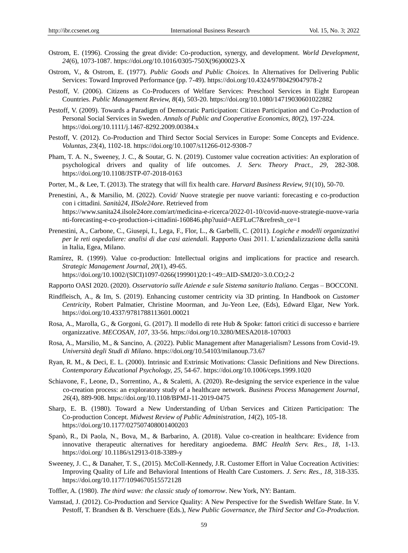- Ostrom, E. (1996). Crossing the great divide: Co-production, synergy, and development. *World Development*, *24*(6), 1073-1087. https://doi.org/10.1016/0305-750X(96)00023-X
- Ostrom, V., & Ostrom, E. (1977). *Public Goods and Public Choices.* In Alternatives for Delivering Public Services: Toward Improved Performance (pp. 7-49). https://doi.org/10.4324/9780429047978-2
- Pestoff, V. (2006). Citizens as Co-Producers of Welfare Services: Preschool Services in Eight European Countries. *Public Management Review, 8*(4), 503-20. https://doi.org/10.1080/14719030601022882
- Pestoff, V. (2009). Towards a Paradigm of Democratic Participation: Citizen Participation and Co-Production of Personal Social Services in Sweden. *Annals of Public and Cooperative Economics, 80*(2), 197-224. https://doi.org/10.1111/j.1467-8292.2009.00384.x
- Pestoff, V. (2012). Co-Production and Third Sector Social Services in Europe: Some Concepts and Evidence. *Voluntas, 23*(4), 1102-18. https://doi.org/10.1007/s11266-012-9308-7
- Pham, T. A. N., Sweeney, J. C., & Soutar, G. N. (2019). Customer value cocreation activities: An exploration of psychological drivers and quality of life outcomes. *J. Serv. Theory Pract., 29,* 282-308. https://doi.org/10.1108/JSTP-07-2018-0163
- Porter, M., & Lee, T. (2013). The strategy that will fix health care. *Harvard Business Review, 91*(10), 50-70.
- Prenestini, A., & Marsilio, M. (2022). Covid/ Nuove strategie per nuove varianti: forecasting e co-production con i cittadini. *Sanità24, IlSole24ore*. Retrieved from https://www.sanita24.ilsole24ore.com/art/medicina-e-ricerca/2022-01-10/covid-nuove-strategie-nuove-varia nti-forecasting-e-co-production-i-cittadini-160846.php?uuid=AEFLuC7&refresh\_ce=1
- Prenestini, A., Carbone, C., Giusepi, I., Lega, F., Flor, L., & Garbelli, C. (2011). *Logiche e modelli organizzativi per le reti ospedaliere: analisi di due casi aziendali.* Rapporto Oasi 2011. L"aziendalizzazione della sanità in Italia, Egea, Milano.
- Ramírez, R. (1999). Value co-production: Intellectual origins and implications for practice and research. *Strategic Management Journal*, *20*(1), 49-65. [https://doi.org/10.1002/\(SICI\)1097-0266\(199901\)20:1<49::AID-SMJ20>3.0.CO;2-2](https://doi.org/10.1002/(SICI)1097-0266(199901)20:1%3c49::AID-SMJ20%3e3.0.CO;2-2)
- Rapporto OASI 2020. (2020). *Osservatorio sulle Aziende e sule Sistema sanitario Italiano.* Cergas BOCCONI.
- Rindfleisch, A., & Im, S. (2019). Enhancing customer centricity via 3D printing. In Handbook on *Customer Centricity*, Robert Palmatier, Christine Moorman, and Ju-Yeon Lee, (Eds), Edward Elgar, New York. <https://doi.org/10.4337/9781788113601.00021>
- Rosa, A., Marolla, G., & Gorgoni, G. (2017). Il modello di rete Hub & Spoke: fattori critici di successo e barriere organizzative. *MECOSAN, 107,* 33-56.<https://doi.org/10.3280/MESA2018-107003>
- Rosa, A., Marsilio, M., & Sancino, A. (2022). Public Management after Managerialism? Lessons from Covid-19. *Università degli Studi di Milano*. https://doi.org/10.54103/milanoup.73.67
- Ryan, R. M., & Deci, E. L. (2000). Intrinsic and Extrinsic Motivations: Classic Definitions and New Directions. *Contemporary Educational Psychology, 25,* 54-67. https://doi.org/10.1006/ceps.1999.1020
- [Schiavone, F.,](https://www.emerald.com/insight/search?q=Francesco%20Schiavone) [Leone, D.,](https://www.emerald.com/insight/search?q=Daniele%20Leone) [Sorrentino, A.,](https://www.emerald.com/insight/search?q=Annarita%20Sorrentino) & [Scaletti, A.](https://www.emerald.com/insight/search?q=Alessandro%20Scaletti) (2020). Re-designing the service experience in the value co-creation process: an exploratory study of a healthcare network. *[Business Process Management Journal](https://www.emerald.com/insight/publication/issn/1463-7154)*, *26*(4), 889-908.<https://doi.org/10.1108/BPMJ-11-2019-0475>
- Sharp, E. B. (1980). Toward a New Understanding of Urban Services and Citizen Participation: The Co-production Concept. *Midwest Review of Public Administration*, *14*(2), 105-18. <https://doi.org/10.1177/027507408001400203>
- Spanò, R., Di Paola, N., Bova, M., & Barbarino, A. (2018). Value co-creation in healthcare: Evidence from innovative therapeutic alternatives for hereditary angioedema. *BMC Health Serv. Res.*, *18*, 1-13. https://doi.org/ 10.1186/s12913-018-3389-y
- Sweeney, J. C., & Danaher, T. S., (2015). McColl-Kennedy, J.R. Customer Effort in Value Cocreation Activities: Improving Quality of Life and Behavioral Intentions of Health Care Customers. *J. Serv. Res.*, *18*, 318-335. https://doi.org/10.1177/1094670515572128
- Toffler, A. (1980). *The third wave: the classic study of tomorrow*. New York, NY: Bantam.
- Vamstad, J. (2012). Co-Production and Service Quality: A New Perspective for the Swedish Welfare State. In V. Pestoff, T. Brandsen & B. Verschuere (Eds.), *New Public Governance, the Third Sector and Co-Production.*